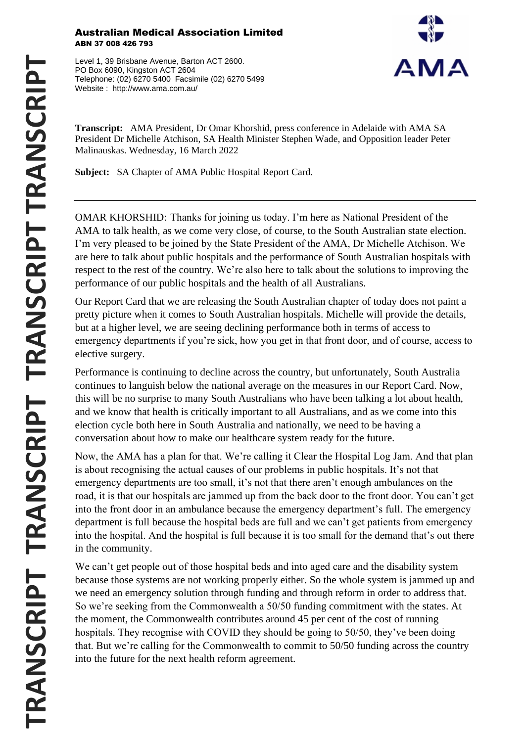## Australian Medical Association Limited ABN 37 008 426 793

Level 1, 39 Brisbane Avenue, Barton ACT 2600. PO Box 6090, Kingston ACT 2604 Telephone: (02) 6270 5400 Facsimile (02) 6270 5499 Website : http://www.ama.com.au/



**Transcript:** AMA President, Dr Omar Khorshid, press conference in Adelaide with AMA SA President Dr Michelle Atchison, SA Health Minister Stephen Wade, and Opposition leader Peter Malinauskas. Wednesday, 16 March 2022

**Subject:** SA Chapter of AMA Public Hospital Report Card.

OMAR KHORSHID: Thanks for joining us today. I'm here as National President of the AMA to talk health, as we come very close, of course, to the South Australian state election. I'm very pleased to be joined by the State President of the AMA, Dr Michelle Atchison. We are here to talk about public hospitals and the performance of South Australian hospitals with respect to the rest of the country. We're also here to talk about the solutions to improving the performance of our public hospitals and the health of all Australians.

Our Report Card that we are releasing the South Australian chapter of today does not paint a pretty picture when it comes to South Australian hospitals. Michelle will provide the details, but at a higher level, we are seeing declining performance both in terms of access to emergency departments if you're sick, how you get in that front door, and of course, access to elective surgery.

Performance is continuing to decline across the country, but unfortunately, South Australia continues to languish below the national average on the measures in our Report Card. Now, this will be no surprise to many South Australians who have been talking a lot about health, and we know that health is critically important to all Australians, and as we come into this election cycle both here in South Australia and nationally, we need to be having a conversation about how to make our healthcare system ready for the future.

Now, the AMA has a plan for that. We're calling it Clear the Hospital Log Jam. And that plan is about recognising the actual causes of our problems in public hospitals. It's not that emergency departments are too small, it's not that there aren't enough ambulances on the road, it is that our hospitals are jammed up from the back door to the front door. You can't get into the front door in an ambulance because the emergency department's full. The emergency department is full because the hospital beds are full and we can't get patients from emergency into the hospital. And the hospital is full because it is too small for the demand that's out there in the community.

We can't get people out of those hospital beds and into aged care and the disability system because those systems are not working properly either. So the whole system is jammed up and we need an emergency solution through funding and through reform in order to address that. So we're seeking from the Commonwealth a 50/50 funding commitment with the states. At the moment, the Commonwealth contributes around 45 per cent of the cost of running hospitals. They recognise with COVID they should be going to 50/50, they've been doing that. But we're calling for the Commonwealth to commit to 50/50 funding across the country into the future for the next health reform agreement.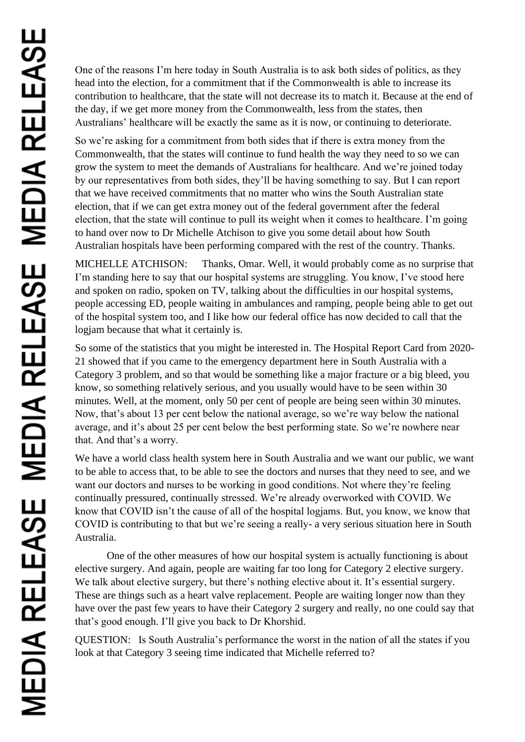One of the reasons I'm here today in South Australia is to ask both sides of politics, as they head into the election, for a commitment that if the Commonwealth is able to increase its contribution to healthcare, that the state will not decrease its to match it. Because at the end of the day, if we get more money from the Commonwealth, less from the states, then Australians' healthcare will be exactly the same as it is now, or continuing to deteriorate.

So we're asking for a commitment from both sides that if there is extra money from the Commonwealth, that the states will continue to fund health the way they need to so we can grow the system to meet the demands of Australians for healthcare. And we're joined today by our representatives from both sides, they'll be having something to say. But I can report that we have received commitments that no matter who wins the South Australian state election, that if we can get extra money out of the federal government after the federal election, that the state will continue to pull its weight when it comes to healthcare. I'm going to hand over now to Dr Michelle Atchison to give you some detail about how South Australian hospitals have been performing compared with the rest of the country. Thanks.

MICHELLE ATCHISON: Thanks, Omar. Well, it would probably come as no surprise that I'm standing here to say that our hospital systems are struggling. You know, I've stood here and spoken on radio, spoken on TV, talking about the difficulties in our hospital systems, people accessing ED, people waiting in ambulances and ramping, people being able to get out of the hospital system too, and I like how our federal office has now decided to call that the logjam because that what it certainly is.

So some of the statistics that you might be interested in. The Hospital Report Card from 2020- 21 showed that if you came to the emergency department here in South Australia with a Category 3 problem, and so that would be something like a major fracture or a big bleed, you know, so something relatively serious, and you usually would have to be seen within 30 minutes. Well, at the moment, only 50 per cent of people are being seen within 30 minutes. Now, that's about 13 per cent below the national average, so we're way below the national average, and it's about 25 per cent below the best performing state. So we're nowhere near that. And that's a worry.

We have a world class health system here in South Australia and we want our public, we want to be able to access that, to be able to see the doctors and nurses that they need to see, and we want our doctors and nurses to be working in good conditions. Not where they're feeling continually pressured, continually stressed. We're already overworked with COVID. We know that COVID isn't the cause of all of the hospital logjams. But, you know, we know that COVID is contributing to that but we're seeing a really- a very serious situation here in South Australia.

One of the other measures of how our hospital system is actually functioning is about elective surgery. And again, people are waiting far too long for Category 2 elective surgery. We talk about elective surgery, but there's nothing elective about it. It's essential surgery. These are things such as a heart valve replacement. People are waiting longer now than they have over the past few years to have their Category 2 surgery and really, no one could say that that's good enough. I'll give you back to Dr Khorshid.

QUESTION: Is South Australia's performance the worst in the nation of all the states if you look at that Category 3 seeing time indicated that Michelle referred to?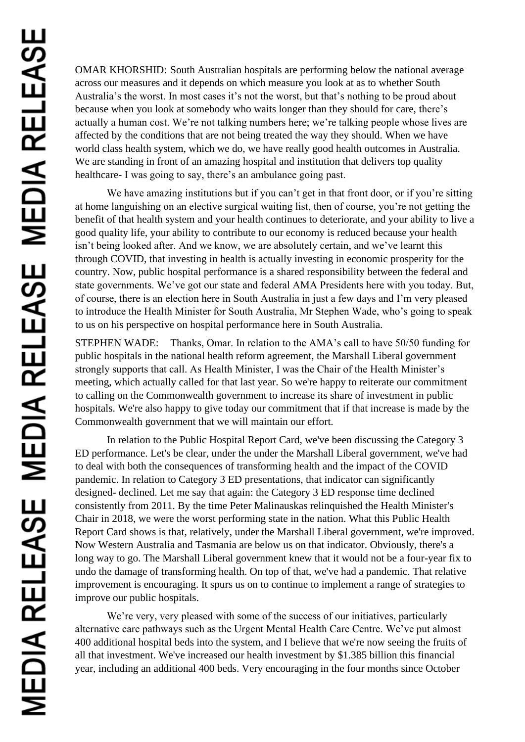OMAR KHORSHID: South Australian hospitals are performing below the national average across our measures and it depends on which measure you look at as to whether South Australia's the worst. In most cases it's not the worst, but that's nothing to be proud about because when you look at somebody who waits longer than they should for care, there's actually a human cost. We're not talking numbers here; we're talking people whose lives are affected by the conditions that are not being treated the way they should. When we have world class health system, which we do, we have really good health outcomes in Australia. We are standing in front of an amazing hospital and institution that delivers top quality healthcare- I was going to say, there's an ambulance going past.

We have amazing institutions but if you can't get in that front door, or if you're sitting at home languishing on an elective surgical waiting list, then of course, you're not getting the benefit of that health system and your health continues to deteriorate, and your ability to live a good quality life, your ability to contribute to our economy is reduced because your health isn't being looked after. And we know, we are absolutely certain, and we've learnt this through COVID, that investing in health is actually investing in economic prosperity for the country. Now, public hospital performance is a shared responsibility between the federal and state governments. We've got our state and federal AMA Presidents here with you today. But, of course, there is an election here in South Australia in just a few days and I'm very pleased to introduce the Health Minister for South Australia, Mr Stephen Wade, who's going to speak to us on his perspective on hospital performance here in South Australia.

STEPHEN WADE: Thanks, Omar. In relation to the AMA's call to have 50/50 funding for public hospitals in the national health reform agreement, the Marshall Liberal government strongly supports that call. As Health Minister, I was the Chair of the Health Minister's meeting, which actually called for that last year. So we're happy to reiterate our commitment to calling on the Commonwealth government to increase its share of investment in public hospitals. We're also happy to give today our commitment that if that increase is made by the Commonwealth government that we will maintain our effort.

In relation to the Public Hospital Report Card, we've been discussing the Category 3 ED performance. Let's be clear, under the under the Marshall Liberal government, we've had to deal with both the consequences of transforming health and the impact of the COVID pandemic. In relation to Category 3 ED presentations, that indicator can significantly designed- declined. Let me say that again: the Category 3 ED response time declined consistently from 2011. By the time Peter Malinauskas relinquished the Health Minister's Chair in 2018, we were the worst performing state in the nation. What this Public Health Report Card shows is that, relatively, under the Marshall Liberal government, we're improved. Now Western Australia and Tasmania are below us on that indicator. Obviously, there's a long way to go. The Marshall Liberal government knew that it would not be a four-year fix to undo the damage of transforming health. On top of that, we've had a pandemic. That relative improvement is encouraging. It spurs us on to continue to implement a range of strategies to improve our public hospitals.

We're very, very pleased with some of the success of our initiatives, particularly alternative care pathways such as the Urgent Mental Health Care Centre. We've put almost 400 additional hospital beds into the system, and I believe that we're now seeing the fruits of all that investment. We've increased our health investment by \$1.385 billion this financial year, including an additional 400 beds. Very encouraging in the four months since October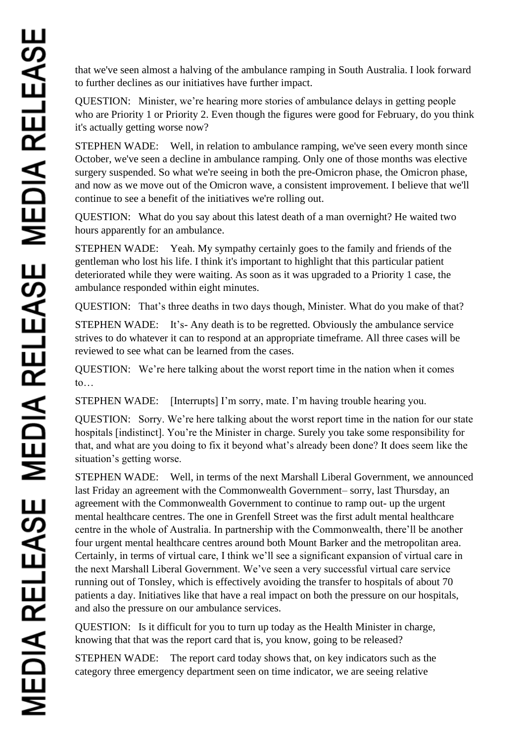that we've seen almost a halving of the ambulance ramping in South Australia. I look forward to further declines as our initiatives have further impact.

QUESTION: Minister, we're hearing more stories of ambulance delays in getting people who are Priority 1 or Priority 2. Even though the figures were good for February, do you think it's actually getting worse now?

STEPHEN WADE: Well, in relation to ambulance ramping, we've seen every month since October, we've seen a decline in ambulance ramping. Only one of those months was elective surgery suspended. So what we're seeing in both the pre-Omicron phase, the Omicron phase, and now as we move out of the Omicron wave, a consistent improvement. I believe that we'll continue to see a benefit of the initiatives we're rolling out.

QUESTION: What do you say about this latest death of a man overnight? He waited two hours apparently for an ambulance.

STEPHEN WADE: Yeah. My sympathy certainly goes to the family and friends of the gentleman who lost his life. I think it's important to highlight that this particular patient deteriorated while they were waiting. As soon as it was upgraded to a Priority 1 case, the ambulance responded within eight minutes.

QUESTION: That's three deaths in two days though, Minister. What do you make of that?

STEPHEN WADE: It's- Any death is to be regretted. Obviously the ambulance service strives to do whatever it can to respond at an appropriate timeframe. All three cases will be reviewed to see what can be learned from the cases.

QUESTION: We're here talking about the worst report time in the nation when it comes to…

STEPHEN WADE: [Interrupts] I'm sorry, mate. I'm having trouble hearing you.

QUESTION: Sorry. We're here talking about the worst report time in the nation for our state hospitals [indistinct]. You're the Minister in charge. Surely you take some responsibility for that, and what are you doing to fix it beyond what's already been done? It does seem like the situation's getting worse.

STEPHEN WADE: Well, in terms of the next Marshall Liberal Government, we announced last Friday an agreement with the Commonwealth Government– sorry, last Thursday, an agreement with the Commonwealth Government to continue to ramp out- up the urgent mental healthcare centres. The one in Grenfell Street was the first adult mental healthcare centre in the whole of Australia. In partnership with the Commonwealth, there'll be another four urgent mental healthcare centres around both Mount Barker and the metropolitan area. Certainly, in terms of virtual care, I think we'll see a significant expansion of virtual care in the next Marshall Liberal Government. We've seen a very successful virtual care service running out of Tonsley, which is effectively avoiding the transfer to hospitals of about 70 patients a day. Initiatives like that have a real impact on both the pressure on our hospitals, and also the pressure on our ambulance services.

QUESTION: Is it difficult for you to turn up today as the Health Minister in charge, knowing that that was the report card that is, you know, going to be released?

STEPHEN WADE: The report card today shows that, on key indicators such as the category three emergency department seen on time indicator, we are seeing relative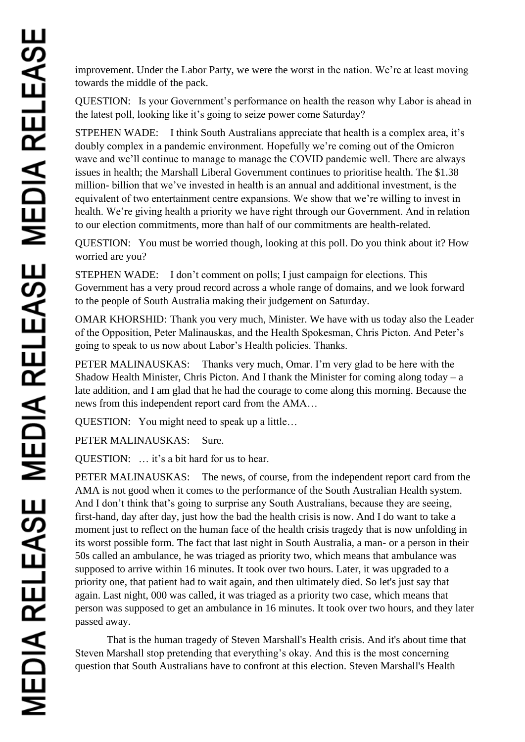improvement. Under the Labor Party, we were the worst in the nation. We're at least moving towards the middle of the pack.

QUESTION: Is your Government's performance on health the reason why Labor is ahead in the latest poll, looking like it's going to seize power come Saturday?

STPEHEN WADE: I think South Australians appreciate that health is a complex area, it's doubly complex in a pandemic environment. Hopefully we're coming out of the Omicron wave and we'll continue to manage to manage the COVID pandemic well. There are always issues in health; the Marshall Liberal Government continues to prioritise health. The \$1.38 million- billion that we've invested in health is an annual and additional investment, is the equivalent of two entertainment centre expansions. We show that we're willing to invest in health. We're giving health a priority we have right through our Government. And in relation to our election commitments, more than half of our commitments are health-related.

QUESTION: You must be worried though, looking at this poll. Do you think about it? How worried are you?

STEPHEN WADE: I don't comment on polls; I just campaign for elections. This Government has a very proud record across a whole range of domains, and we look forward to the people of South Australia making their judgement on Saturday.

OMAR KHORSHID: Thank you very much, Minister. We have with us today also the Leader of the Opposition, Peter Malinauskas, and the Health Spokesman, Chris Picton. And Peter's going to speak to us now about Labor's Health policies. Thanks.

PETER MALINAUSKAS: Thanks very much, Omar. I'm very glad to be here with the Shadow Health Minister, Chris Picton. And I thank the Minister for coming along today – a late addition, and I am glad that he had the courage to come along this morning. Because the news from this independent report card from the AMA…

QUESTION: You might need to speak up a little…

PETER MALINAUSKAS: Sure.

QUESTION: … it's a bit hard for us to hear.

PETER MALINAUSKAS: The news, of course, from the independent report card from the AMA is not good when it comes to the performance of the South Australian Health system. And I don't think that's going to surprise any South Australians, because they are seeing, first-hand, day after day, just how the bad the health crisis is now. And I do want to take a moment just to reflect on the human face of the health crisis tragedy that is now unfolding in its worst possible form. The fact that last night in South Australia, a man- or a person in their 50s called an ambulance, he was triaged as priority two, which means that ambulance was supposed to arrive within 16 minutes. It took over two hours. Later, it was upgraded to a priority one, that patient had to wait again, and then ultimately died. So let's just say that again. Last night, 000 was called, it was triaged as a priority two case, which means that person was supposed to get an ambulance in 16 minutes. It took over two hours, and they later passed away.

That is the human tragedy of Steven Marshall's Health crisis. And it's about time that Steven Marshall stop pretending that everything's okay. And this is the most concerning question that South Australians have to confront at this election. Steven Marshall's Health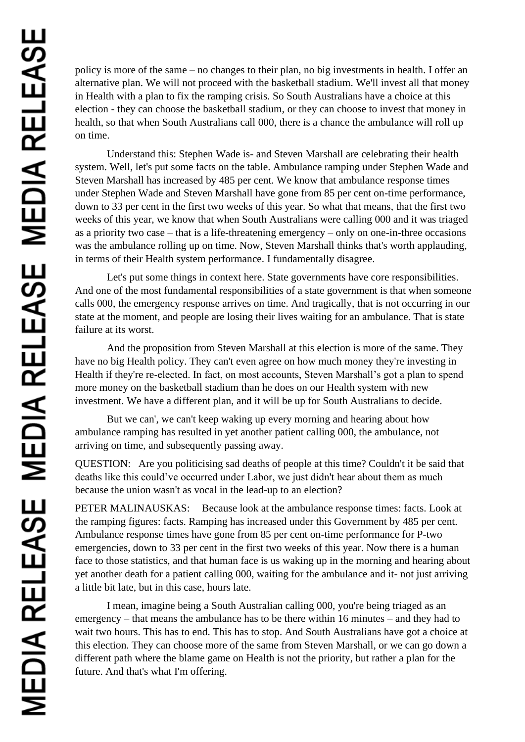policy is more of the same – no changes to their plan, no big investments in health. I offer an alternative plan. We will not proceed with the basketball stadium. We'll invest all that money in Health with a plan to fix the ramping crisis. So South Australians have a choice at this election - they can choose the basketball stadium, or they can choose to invest that money in health, so that when South Australians call 000, there is a chance the ambulance will roll up on time.

Understand this: Stephen Wade is- and Steven Marshall are celebrating their health system. Well, let's put some facts on the table. Ambulance ramping under Stephen Wade and Steven Marshall has increased by 485 per cent. We know that ambulance response times under Stephen Wade and Steven Marshall have gone from 85 per cent on-time performance, down to 33 per cent in the first two weeks of this year. So what that means, that the first two weeks of this year, we know that when South Australians were calling 000 and it was triaged as a priority two case – that is a life-threatening emergency – only on one-in-three occasions was the ambulance rolling up on time. Now, Steven Marshall thinks that's worth applauding, in terms of their Health system performance. I fundamentally disagree.

Let's put some things in context here. State governments have core responsibilities. And one of the most fundamental responsibilities of a state government is that when someone calls 000, the emergency response arrives on time. And tragically, that is not occurring in our state at the moment, and people are losing their lives waiting for an ambulance. That is state failure at its worst.

And the proposition from Steven Marshall at this election is more of the same. They have no big Health policy. They can't even agree on how much money they're investing in Health if they're re-elected. In fact, on most accounts, Steven Marshall's got a plan to spend more money on the basketball stadium than he does on our Health system with new investment. We have a different plan, and it will be up for South Australians to decide.

But we can', we can't keep waking up every morning and hearing about how ambulance ramping has resulted in yet another patient calling 000, the ambulance, not arriving on time, and subsequently passing away.

QUESTION: Are you politicising sad deaths of people at this time? Couldn't it be said that deaths like this could've occurred under Labor, we just didn't hear about them as much because the union wasn't as vocal in the lead-up to an election?

PETER MALINAUSKAS: Because look at the ambulance response times: facts. Look at the ramping figures: facts. Ramping has increased under this Government by 485 per cent. Ambulance response times have gone from 85 per cent on-time performance for P-two emergencies, down to 33 per cent in the first two weeks of this year. Now there is a human face to those statistics, and that human face is us waking up in the morning and hearing about yet another death for a patient calling 000, waiting for the ambulance and it- not just arriving a little bit late, but in this case, hours late.

I mean, imagine being a South Australian calling 000, you're being triaged as an emergency – that means the ambulance has to be there within 16 minutes – and they had to wait two hours. This has to end. This has to stop. And South Australians have got a choice at this election. They can choose more of the same from Steven Marshall, or we can go down a different path where the blame game on Health is not the priority, but rather a plan for the future. And that's what I'm offering.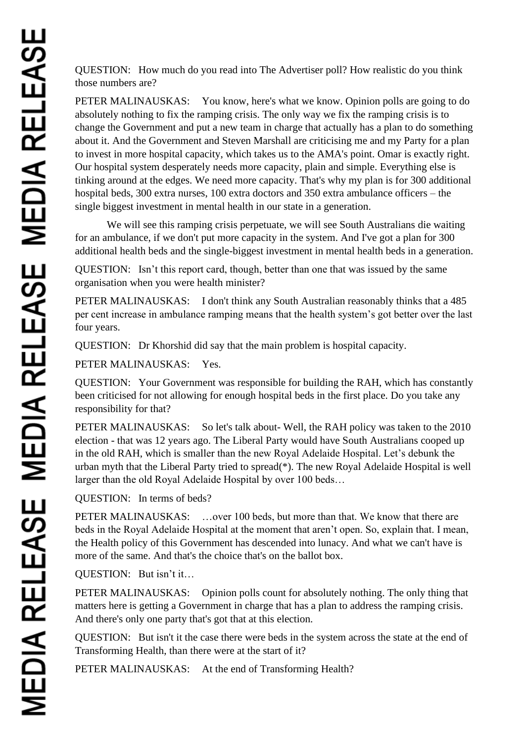QUESTION: How much do you read into The Advertiser poll? How realistic do you think those numbers are?

PETER MALINAUSKAS: You know, here's what we know. Opinion polls are going to do absolutely nothing to fix the ramping crisis. The only way we fix the ramping crisis is to change the Government and put a new team in charge that actually has a plan to do something about it. And the Government and Steven Marshall are criticising me and my Party for a plan to invest in more hospital capacity, which takes us to the AMA's point. Omar is exactly right. Our hospital system desperately needs more capacity, plain and simple. Everything else is tinking around at the edges. We need more capacity. That's why my plan is for 300 additional hospital beds, 300 extra nurses, 100 extra doctors and 350 extra ambulance officers – the single biggest investment in mental health in our state in a generation.

We will see this ramping crisis perpetuate, we will see South Australians die waiting for an ambulance, if we don't put more capacity in the system. And I've got a plan for 300 additional health beds and the single-biggest investment in mental health beds in a generation.

QUESTION: Isn't this report card, though, better than one that was issued by the same organisation when you were health minister?

PETER MALINAUSKAS: I don't think any South Australian reasonably thinks that a 485 per cent increase in ambulance ramping means that the health system's got better over the last four years.

QUESTION: Dr Khorshid did say that the main problem is hospital capacity.

PETER MALINAUSKAS: Yes.

QUESTION: Your Government was responsible for building the RAH, which has constantly been criticised for not allowing for enough hospital beds in the first place. Do you take any responsibility for that?

PETER MALINAUSKAS: So let's talk about- Well, the RAH policy was taken to the 2010 election - that was 12 years ago. The Liberal Party would have South Australians cooped up in the old RAH, which is smaller than the new Royal Adelaide Hospital. Let's debunk the urban myth that the Liberal Party tried to spread(\*). The new Royal Adelaide Hospital is well larger than the old Royal Adelaide Hospital by over 100 beds…

QUESTION: In terms of beds?

PETER MALINAUSKAS: ...over 100 beds, but more than that. We know that there are beds in the Royal Adelaide Hospital at the moment that aren't open. So, explain that. I mean, the Health policy of this Government has descended into lunacy. And what we can't have is more of the same. And that's the choice that's on the ballot box.

QUESTION: But isn't it…

PETER MALINAUSKAS: Opinion polls count for absolutely nothing. The only thing that matters here is getting a Government in charge that has a plan to address the ramping crisis. And there's only one party that's got that at this election.

QUESTION: But isn't it the case there were beds in the system across the state at the end of Transforming Health, than there were at the start of it?

PETER MALINAUSKAS: At the end of Transforming Health?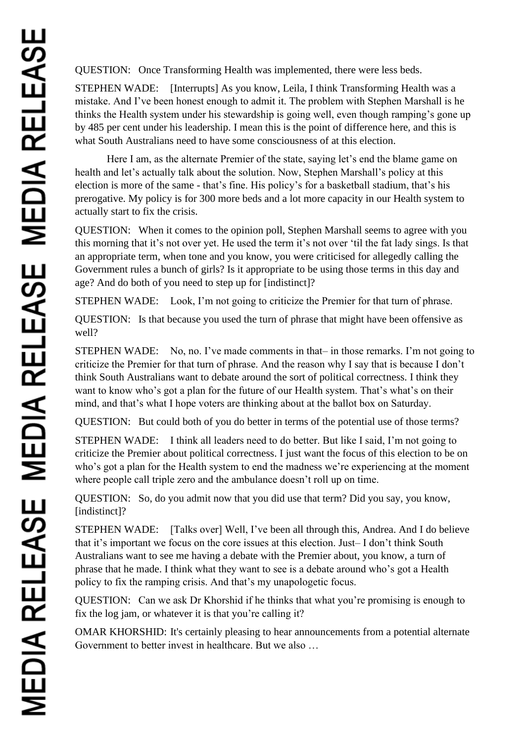QUESTION: Once Transforming Health was implemented, there were less beds.

STEPHEN WADE: [Interrupts] As you know, Leila, I think Transforming Health was a mistake. And I've been honest enough to admit it. The problem with Stephen Marshall is he thinks the Health system under his stewardship is going well, even though ramping's gone up by 485 per cent under his leadership. I mean this is the point of difference here, and this is what South Australians need to have some consciousness of at this election.

Here I am, as the alternate Premier of the state, saying let's end the blame game on health and let's actually talk about the solution. Now, Stephen Marshall's policy at this election is more of the same - that's fine. His policy's for a basketball stadium, that's his prerogative. My policy is for 300 more beds and a lot more capacity in our Health system to actually start to fix the crisis.

QUESTION: When it comes to the opinion poll, Stephen Marshall seems to agree with you this morning that it's not over yet. He used the term it's not over 'til the fat lady sings. Is that an appropriate term, when tone and you know, you were criticised for allegedly calling the Government rules a bunch of girls? Is it appropriate to be using those terms in this day and age? And do both of you need to step up for [indistinct]?

STEPHEN WADE: Look, I'm not going to criticize the Premier for that turn of phrase.

QUESTION: Is that because you used the turn of phrase that might have been offensive as well?

STEPHEN WADE: No, no. I've made comments in that– in those remarks. I'm not going to criticize the Premier for that turn of phrase. And the reason why I say that is because I don't think South Australians want to debate around the sort of political correctness. I think they want to know who's got a plan for the future of our Health system. That's what's on their mind, and that's what I hope voters are thinking about at the ballot box on Saturday.

QUESTION: But could both of you do better in terms of the potential use of those terms?

STEPHEN WADE: I think all leaders need to do better. But like I said, I'm not going to criticize the Premier about political correctness. I just want the focus of this election to be on who's got a plan for the Health system to end the madness we're experiencing at the moment where people call triple zero and the ambulance doesn't roll up on time.

QUESTION: So, do you admit now that you did use that term? Did you say, you know, [indistinct]?

STEPHEN WADE: [Talks over] Well, I've been all through this, Andrea. And I do believe that it's important we focus on the core issues at this election. Just– I don't think South Australians want to see me having a debate with the Premier about, you know, a turn of phrase that he made. I think what they want to see is a debate around who's got a Health policy to fix the ramping crisis. And that's my unapologetic focus.

QUESTION: Can we ask Dr Khorshid if he thinks that what you're promising is enough to fix the log jam, or whatever it is that you're calling it?

OMAR KHORSHID: It's certainly pleasing to hear announcements from a potential alternate Government to better invest in healthcare. But we also …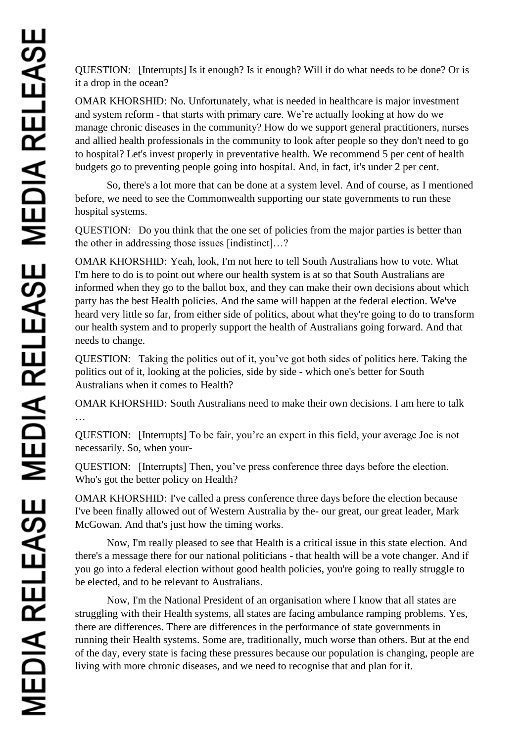QUESTION: [Interrupts] Is it enough? Is it enough? Will it do what needs to be done? Or is it a drop in the ocean?

OMAR KHORSHID: No. Unfortunately, what is needed in healthcare is major investment and system reform - that starts with primary care. We're actually looking at how do we manage chronic diseases in the community? How do we support general practitioners, nurses and allied health professionals in the community to look after people so they don't need to go to hospital? Let's invest properly in preventative health. We recommend 5 per cent of health budgets go to preventing people going into hospital. And, in fact, it's under 2 per cent.

So, there's a lot more that can be done at a system level. And of course, as I mentioned before, we need to see the Commonwealth supporting our state governments to run these hospital systems.

QUESTION: Do you think that the one set of policies from the major parties is better than the other in addressing those issues [indistinct]…?

OMAR KHORSHID: Yeah, look, I'm not here to tell South Australians how to vote. What I'm here to do is to point out where our health system is at so that South Australians are informed when they go to the ballot box, and they can make their own decisions about which party has the best Health policies. And the same will happen at the federal election. We've heard very little so far, from either side of politics, about what they're going to do to transform our health system and to properly support the health of Australians going forward. And that needs to change.

QUESTION: Taking the politics out of it, you've got both sides of politics here. Taking the politics out of it, looking at the policies, side by side - which one's better for South Australians when it comes to Health?

OMAR KHORSHID: South Australians need to make their own decisions. I am here to talk …

QUESTION: [Interrupts] To be fair, you're an expert in this field, your average Joe is not necessarily. So, when your-

QUESTION: [Interrupts] Then, you've press conference three days before the election. Who's got the better policy on Health?

OMAR KHORSHID: I've called a press conference three days before the election because I've been finally allowed out of Western Australia by the- our great, our great leader, Mark McGowan. And that's just how the timing works.

Now, I'm really pleased to see that Health is a critical issue in this state election. And there's a message there for our national politicians - that health will be a vote changer. And if you go into a federal election without good health policies, you're going to really struggle to be elected, and to be relevant to Australians.

Now, I'm the National President of an organisation where I know that all states are struggling with their Health systems, all states are facing ambulance ramping problems. Yes, there are differences. There are differences in the performance of state governments in running their Health systems. Some are, traditionally, much worse than others. But at the end of the day, every state is facing these pressures because our population is changing, people are living with more chronic diseases, and we need to recognise that and plan for it.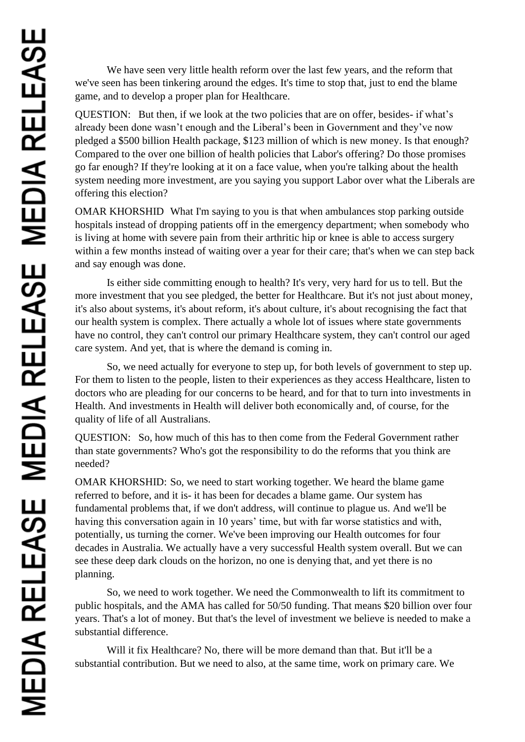We have seen very little health reform over the last few years, and the reform that we've seen has been tinkering around the edges. It's time to stop that, just to end the blame game, and to develop a proper plan for Healthcare.

QUESTION: But then, if we look at the two policies that are on offer, besides- if what's already been done wasn't enough and the Liberal's been in Government and they've now pledged a \$500 billion Health package, \$123 million of which is new money. Is that enough? Compared to the over one billion of health policies that Labor's offering? Do those promises go far enough? If they're looking at it on a face value, when you're talking about the health system needing more investment, are you saying you support Labor over what the Liberals are offering this election?

OMAR KHORSHID What I'm saying to you is that when ambulances stop parking outside hospitals instead of dropping patients off in the emergency department; when somebody who is living at home with severe pain from their arthritic hip or knee is able to access surgery within a few months instead of waiting over a year for their care; that's when we can step back and say enough was done.

Is either side committing enough to health? It's very, very hard for us to tell. But the more investment that you see pledged, the better for Healthcare. But it's not just about money, it's also about systems, it's about reform, it's about culture, it's about recognising the fact that our health system is complex. There actually a whole lot of issues where state governments have no control, they can't control our primary Healthcare system, they can't control our aged care system. And yet, that is where the demand is coming in.

So, we need actually for everyone to step up, for both levels of government to step up. For them to listen to the people, listen to their experiences as they access Healthcare, listen to doctors who are pleading for our concerns to be heard, and for that to turn into investments in Health. And investments in Health will deliver both economically and, of course, for the quality of life of all Australians.

QUESTION: So, how much of this has to then come from the Federal Government rather than state governments? Who's got the responsibility to do the reforms that you think are needed?

OMAR KHORSHID: So, we need to start working together. We heard the blame game referred to before, and it is- it has been for decades a blame game. Our system has fundamental problems that, if we don't address, will continue to plague us. And we'll be having this conversation again in 10 years' time, but with far worse statistics and with, potentially, us turning the corner. We've been improving our Health outcomes for four decades in Australia. We actually have a very successful Health system overall. But we can see these deep dark clouds on the horizon, no one is denying that, and yet there is no planning.

So, we need to work together. We need the Commonwealth to lift its commitment to public hospitals, and the AMA has called for 50/50 funding. That means \$20 billion over four years. That's a lot of money. But that's the level of investment we believe is needed to make a substantial difference.

Will it fix Healthcare? No, there will be more demand than that. But it'll be a substantial contribution. But we need to also, at the same time, work on primary care. We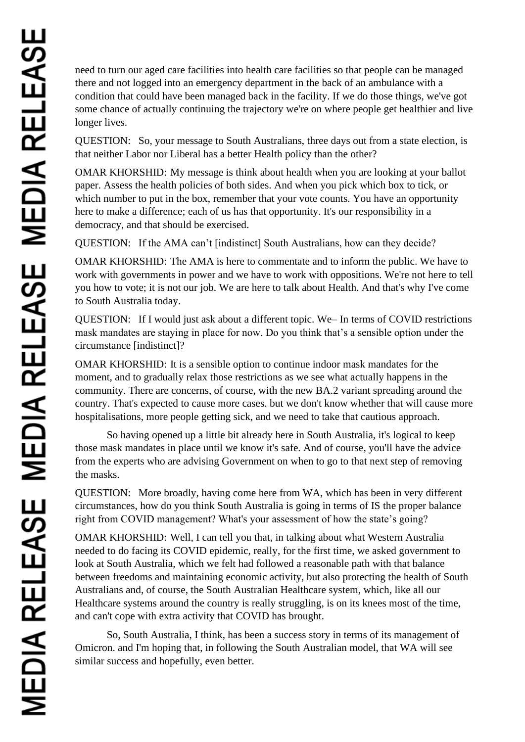need to turn our aged care facilities into health care facilities so that people can be managed there and not logged into an emergency department in the back of an ambulance with a condition that could have been managed back in the facility. If we do those things, we've got some chance of actually continuing the trajectory we're on where people get healthier and live longer lives.

QUESTION: So, your message to South Australians, three days out from a state election, is that neither Labor nor Liberal has a better Health policy than the other?

OMAR KHORSHID: My message is think about health when you are looking at your ballot paper. Assess the health policies of both sides. And when you pick which box to tick, or which number to put in the box, remember that your vote counts. You have an opportunity here to make a difference; each of us has that opportunity. It's our responsibility in a democracy, and that should be exercised.

QUESTION: If the AMA can't [indistinct] South Australians, how can they decide?

OMAR KHORSHID: The AMA is here to commentate and to inform the public. We have to work with governments in power and we have to work with oppositions. We're not here to tell you how to vote; it is not our job. We are here to talk about Health. And that's why I've come to South Australia today.

QUESTION: If I would just ask about a different topic. We– In terms of COVID restrictions mask mandates are staying in place for now. Do you think that's a sensible option under the circumstance [indistinct]?

OMAR KHORSHID: It is a sensible option to continue indoor mask mandates for the moment, and to gradually relax those restrictions as we see what actually happens in the community. There are concerns, of course, with the new BA.2 variant spreading around the country. That's expected to cause more cases. but we don't know whether that will cause more hospitalisations, more people getting sick, and we need to take that cautious approach.

So having opened up a little bit already here in South Australia, it's logical to keep those mask mandates in place until we know it's safe. And of course, you'll have the advice from the experts who are advising Government on when to go to that next step of removing the masks.

QUESTION: More broadly, having come here from WA, which has been in very different circumstances, how do you think South Australia is going in terms of IS the proper balance right from COVID management? What's your assessment of how the state's going?

OMAR KHORSHID: Well, I can tell you that, in talking about what Western Australia needed to do facing its COVID epidemic, really, for the first time, we asked government to look at South Australia, which we felt had followed a reasonable path with that balance between freedoms and maintaining economic activity, but also protecting the health of South Australians and, of course, the South Australian Healthcare system, which, like all our Healthcare systems around the country is really struggling, is on its knees most of the time, and can't cope with extra activity that COVID has brought.

So, South Australia, I think, has been a success story in terms of its management of Omicron. and I'm hoping that, in following the South Australian model, that WA will see similar success and hopefully, even better.